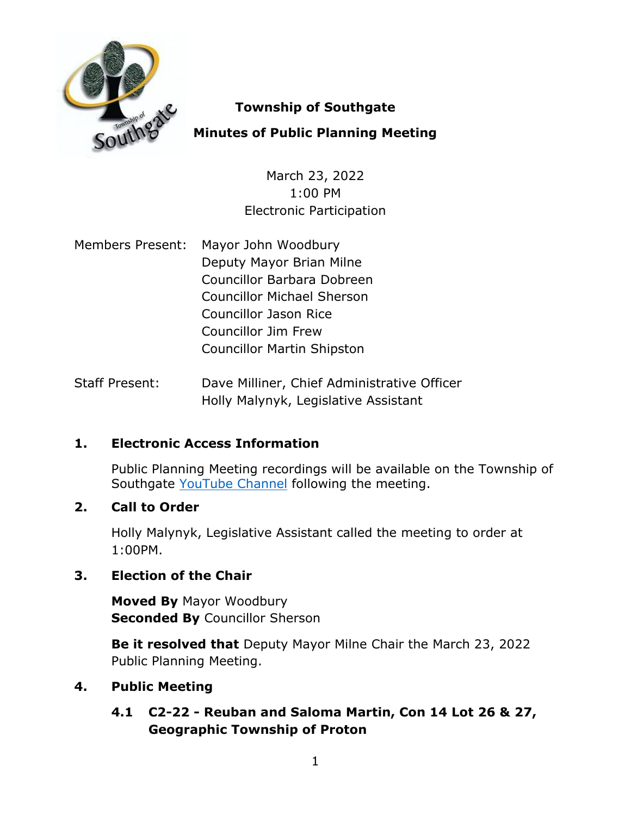

# **Township of Southgate**

## **Minutes of Public Planning Meeting**

March 23, 2022 1:00 PM Electronic Participation

- Members Present: Mayor John Woodbury Deputy Mayor Brian Milne Councillor Barbara Dobreen Councillor Michael Sherson Councillor Jason Rice Councillor Jim Frew Councillor Martin Shipston
- Staff Present: Dave Milliner, Chief Administrative Officer Holly Malynyk, Legislative Assistant

# **1. Electronic Access Information**

Public Planning Meeting recordings will be available on the Township of Southgate [YouTube Channel](https://www.youtube.com/user/SouthgateTownship) following the meeting.

## **2. Call to Order**

Holly Malynyk, Legislative Assistant called the meeting to order at 1:00PM.

## **3. Election of the Chair**

**Moved By** Mayor Woodbury **Seconded By Councillor Sherson** 

**Be it resolved that** Deputy Mayor Milne Chair the March 23, 2022 Public Planning Meeting.

## **4. Public Meeting**

# **4.1 C2-22 - Reuban and Saloma Martin, Con 14 Lot 26 & 27, Geographic Township of Proton**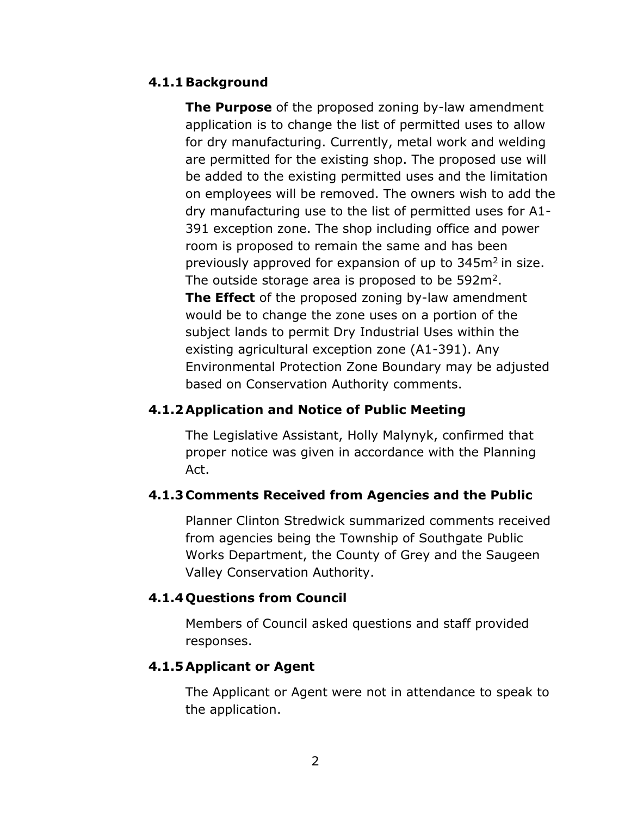#### **4.1.1Background**

**The Purpose** of the proposed zoning by-law amendment application is to change the list of permitted uses to allow for dry manufacturing. Currently, metal work and welding are permitted for the existing shop. The proposed use will be added to the existing permitted uses and the limitation on employees will be removed. The owners wish to add the dry manufacturing use to the list of permitted uses for A1- 391 exception zone. The shop including office and power room is proposed to remain the same and has been previously approved for expansion of up to  $345m^2$  in size. The outside storage area is proposed to be  $592m^2$ . **The Effect** of the proposed zoning by-law amendment would be to change the zone uses on a portion of the subject lands to permit Dry Industrial Uses within the existing agricultural exception zone (A1-391). Any Environmental Protection Zone Boundary may be adjusted based on Conservation Authority comments.

### **4.1.2Application and Notice of Public Meeting**

The Legislative Assistant, Holly Malynyk, confirmed that proper notice was given in accordance with the Planning Act.

#### **4.1.3 Comments Received from Agencies and the Public**

Planner Clinton Stredwick summarized comments received from agencies being the Township of Southgate Public Works Department, the County of Grey and the Saugeen Valley Conservation Authority.

#### **4.1.4 Questions from Council**

Members of Council asked questions and staff provided responses.

#### **4.1.5Applicant or Agent**

The Applicant or Agent were not in attendance to speak to the application.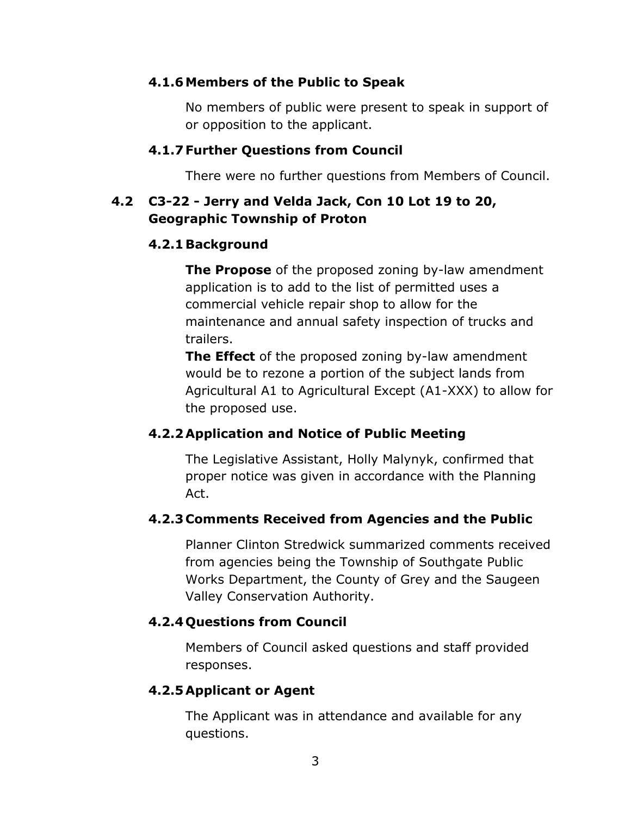### **4.1.6Members of the Public to Speak**

No members of public were present to speak in support of or opposition to the applicant.

### **4.1.7 Further Questions from Council**

There were no further questions from Members of Council.

# **4.2 C3-22 - Jerry and Velda Jack, Con 10 Lot 19 to 20, Geographic Township of Proton**

## **4.2.1Background**

**The Propose** of the proposed zoning by-law amendment application is to add to the list of permitted uses a commercial vehicle repair shop to allow for the maintenance and annual safety inspection of trucks and trailers.

**The Effect** of the proposed zoning by-law amendment would be to rezone a portion of the subject lands from Agricultural A1 to Agricultural Except (A1-XXX) to allow for the proposed use.

## **4.2.2Application and Notice of Public Meeting**

The Legislative Assistant, Holly Malynyk, confirmed that proper notice was given in accordance with the Planning Act.

## **4.2.3 Comments Received from Agencies and the Public**

Planner Clinton Stredwick summarized comments received from agencies being the Township of Southgate Public Works Department, the County of Grey and the Saugeen Valley Conservation Authority.

## **4.2.4 Questions from Council**

Members of Council asked questions and staff provided responses.

## **4.2.5Applicant or Agent**

The Applicant was in attendance and available for any questions.